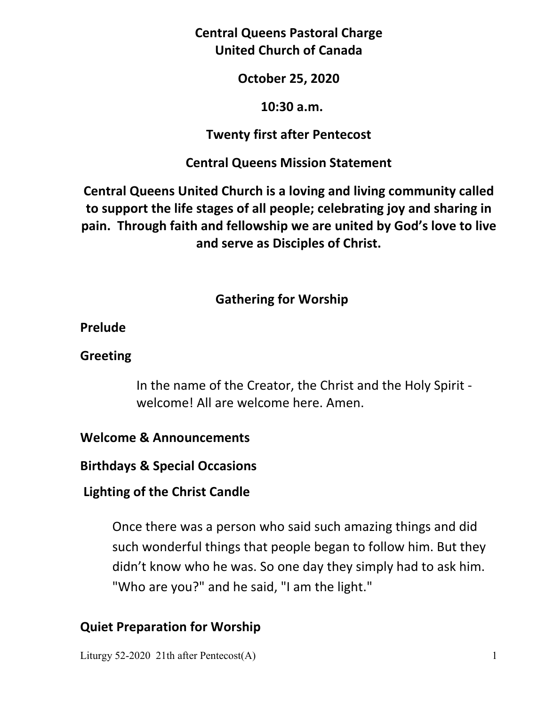**Central Queens Pastoral Charge United Church of Canada** 

### **October 25, 2020**

#### **10:30 a.m.**

### **Twenty first after Pentecost**

### **Central Queens Mission Statement**

**Central Queens United Church is a loving and living community called to support the life stages of all people; celebrating joy and sharing in pain. Through faith and fellowship we are united by God's love to live and serve as Disciples of Christ.**

# **Gathering for Worship**

### **Prelude**

### **Greeting**

In the name of the Creator, the Christ and the Holy Spirit welcome! All are welcome here. Amen.

### **Welcome & Announcements**

**Birthdays & Special Occasions** 

### **Lighting of the Christ Candle**

Once there was a person who said such amazing things and did such wonderful things that people began to follow him. But they didn't know who he was. So one day they simply had to ask him. "Who are you?" and he said, "I am the light."

# **Quiet Preparation for Worship**

Liturgy 52-2020 21th after Pentecost(A) 1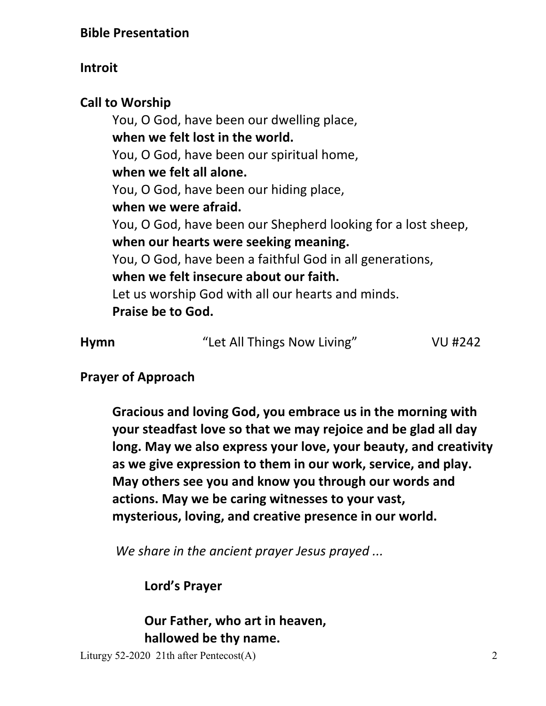# **Introit**

**Call to Worship**  You, O God, have been our dwelling place,  **when we felt lost in the world.** You, O God, have been our spiritual home,  **when we felt all alone.** You, O God, have been our hiding place,  **when we were afraid.** You, O God, have been our Shepherd looking for a lost sheep,  **when our hearts were seeking meaning.** You, O God, have been a faithful God in all generations,  **when we felt insecure about our faith.** Let us worship God with all our hearts and minds.  **Praise be to God.** 

| <b>Hymn</b> | "Let All Things Now Living" | VU #242 |
|-------------|-----------------------------|---------|
|             |                             |         |

# **Prayer of Approach**

 **Gracious and loving God, you embrace us in the morning with your steadfast love so that we may rejoice and be glad all day long. May we also express your love, your beauty, and creativity as we give expression to them in our work, service, and play. May others see you and know you through our words and actions. May we be caring witnesses to your vast, mysterious, loving, and creative presence in our world.** 

*We share in the ancient prayer Jesus prayed ...*

 **Lord's Prayer** 

 **Our Father, who art in heaven, hallowed be thy name.** 

Liturgy 52-2020 21th after Pentecost(A) 2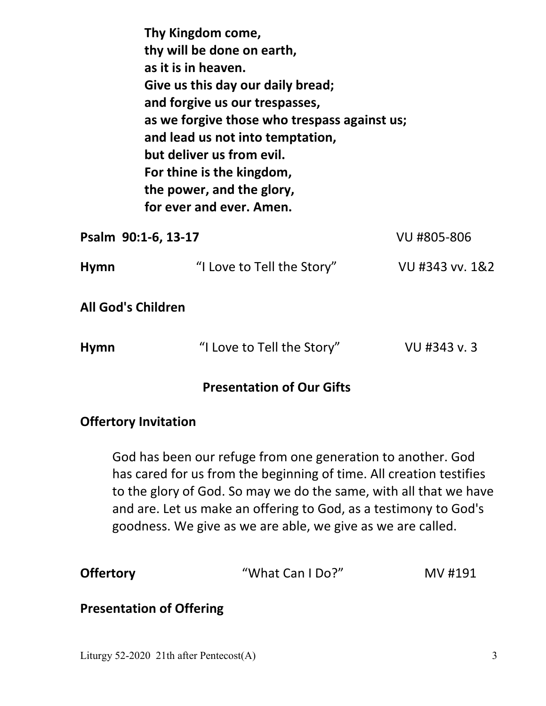|                           | Thy Kingdom come,<br>thy will be done on earth,<br>as it is in heaven.<br>Give us this day our daily bread;<br>and forgive us our trespasses,<br>as we forgive those who trespass against us;<br>and lead us not into temptation,<br>but deliver us from evil.<br>For thine is the kingdom,<br>the power, and the glory,<br>for ever and ever. Amen. |                 |
|---------------------------|------------------------------------------------------------------------------------------------------------------------------------------------------------------------------------------------------------------------------------------------------------------------------------------------------------------------------------------------------|-----------------|
| Psalm 90:1-6, 13-17       |                                                                                                                                                                                                                                                                                                                                                      | VU #805-806     |
| <b>Hymn</b>               | "I Love to Tell the Story"                                                                                                                                                                                                                                                                                                                           | VU #343 vv. 1&2 |
| <b>All God's Children</b> |                                                                                                                                                                                                                                                                                                                                                      |                 |
| <b>Hymn</b>               | "I Love to Tell the Story"                                                                                                                                                                                                                                                                                                                           | VU #343 v.3     |

#### **Presentation of Our Gifts**

#### **Offertory Invitation**

God has been our refuge from one generation to another. God has cared for us from the beginning of time. All creation testifies to the glory of God. So may we do the same, with all that we have and are. Let us make an offering to God, as a testimony to God's goodness. We give as we are able, we give as we are called.

| <b>Offertory</b> | "What Can I Do?" | MV #191 |
|------------------|------------------|---------|
|                  |                  |         |

#### **Presentation of Offering**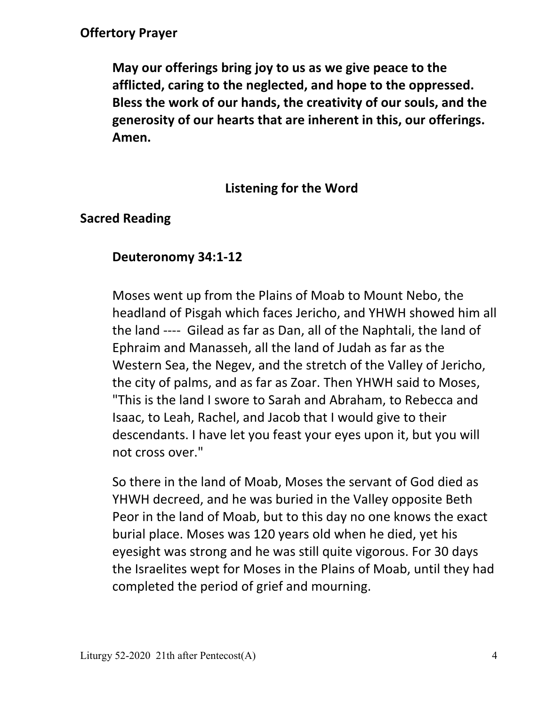### **Offertory Prayer**

 **May our offerings bring joy to us as we give peace to the afflicted, caring to the neglected, and hope to the oppressed. Bless the work of our hands, the creativity of our souls, and the generosity of our hearts that are inherent in this, our offerings. Amen.** 

### **Listening for the Word**

### **Sacred Reading**

### **Deuteronomy 34:1-12**

Moses went up from the Plains of Moab to Mount Nebo, the headland of Pisgah which faces Jericho, and YHWH showed him all the land ---- Gilead as far as Dan, all of the Naphtali, the land of Ephraim and Manasseh, all the land of Judah as far as the Western Sea, the Negev, and the stretch of the Valley of Jericho, the city of palms, and as far as Zoar. Then YHWH said to Moses, "This is the land I swore to Sarah and Abraham, to Rebecca and Isaac, to Leah, Rachel, and Jacob that I would give to their descendants. I have let you feast your eyes upon it, but you will not cross over."

 So there in the land of Moab, Moses the servant of God died as YHWH decreed, and he was buried in the Valley opposite Beth Peor in the land of Moab, but to this day no one knows the exact burial place. Moses was 120 years old when he died, yet his eyesight was strong and he was still quite vigorous. For 30 days the Israelites wept for Moses in the Plains of Moab, until they had completed the period of grief and mourning.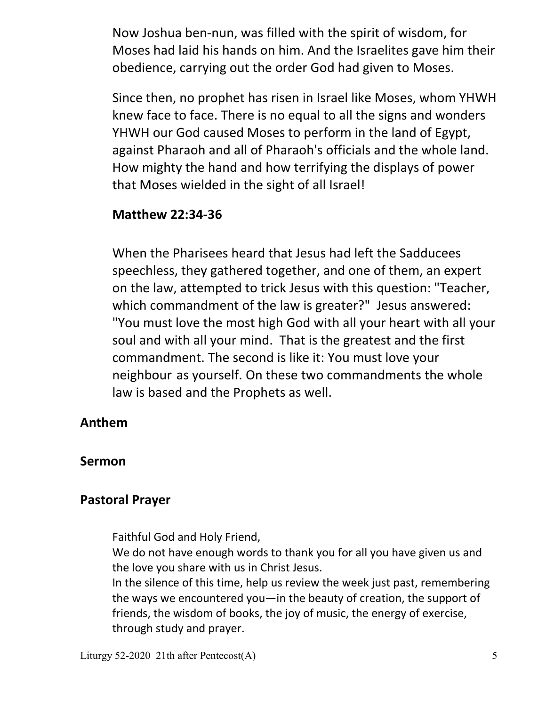Now Joshua ben-nun, was filled with the spirit of wisdom, for Moses had laid his hands on him. And the Israelites gave him their obedience, carrying out the order God had given to Moses.

 Since then, no prophet has risen in Israel like Moses, whom YHWH knew face to face. There is no equal to all the signs and wonders YHWH our God caused Moses to perform in the land of Egypt, against Pharaoh and all of Pharaoh's officials and the whole land. How mighty the hand and how terrifying the displays of power that Moses wielded in the sight of all Israel!

### **Matthew 22:34-36**

When the Pharisees heard that Jesus had left the Sadducees speechless, they gathered together, and one of them, an expert on the law, attempted to trick Jesus with this question: "Teacher, which commandment of the law is greater?" Jesus answered: "You must love the most high God with all your heart with all your soul and with all your mind. That is the greatest and the first commandment. The second is like it: You must love your neighbour as yourself. On these two commandments the whole law is based and the Prophets as well.

### **Anthem**

#### **Sermon**

### **Pastoral Prayer**

Faithful God and Holy Friend,

 We do not have enough words to thank you for all you have given us and the love you share with us in Christ Jesus.

 In the silence of this time, help us review the week just past, remembering the ways we encountered you—in the beauty of creation, the support of friends, the wisdom of books, the joy of music, the energy of exercise, through study and prayer.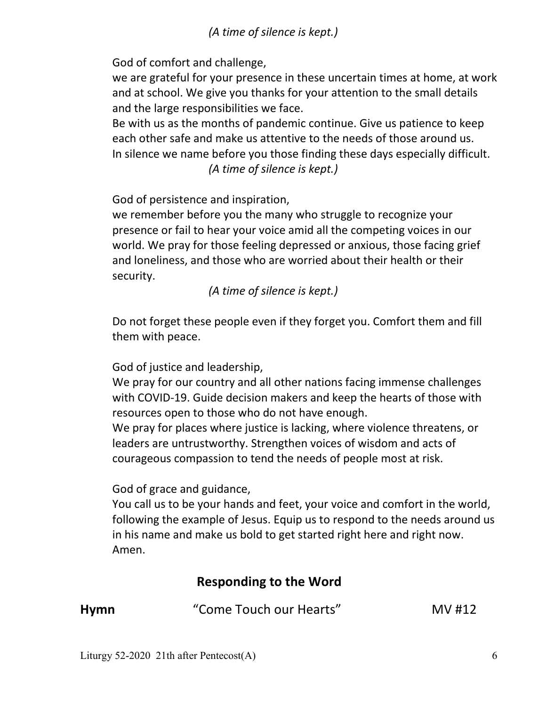*(A time of silence is kept.)* 

God of comfort and challenge,

 we are grateful for your presence in these uncertain times at home, at work and at school. We give you thanks for your attention to the small details and the large responsibilities we face.

 Be with us as the months of pandemic continue. Give us patience to keep each other safe and make us attentive to the needs of those around us. In silence we name before you those finding these days especially difficult.  *(A time of silence is kept.)* 

God of persistence and inspiration,

 we remember before you the many who struggle to recognize your presence or fail to hear your voice amid all the competing voices in our world. We pray for those feeling depressed or anxious, those facing grief and loneliness, and those who are worried about their health or their security.

 *(A time of silence is kept.)* 

 Do not forget these people even if they forget you. Comfort them and fill them with peace.

God of justice and leadership,

 We pray for our country and all other nations facing immense challenges with COVID-19. Guide decision makers and keep the hearts of those with resources open to those who do not have enough.

 We pray for places where justice is lacking, where violence threatens, or leaders are untrustworthy. Strengthen voices of wisdom and acts of courageous compassion to tend the needs of people most at risk.

God of grace and guidance,

 You call us to be your hands and feet, your voice and comfort in the world, following the example of Jesus. Equip us to respond to the needs around us in his name and make us bold to get started right here and right now. Amen.

### **Responding to the Word**

| <b>Hymn</b> | "Come Touch our Hearts" | MV #12 |
|-------------|-------------------------|--------|
|             |                         |        |